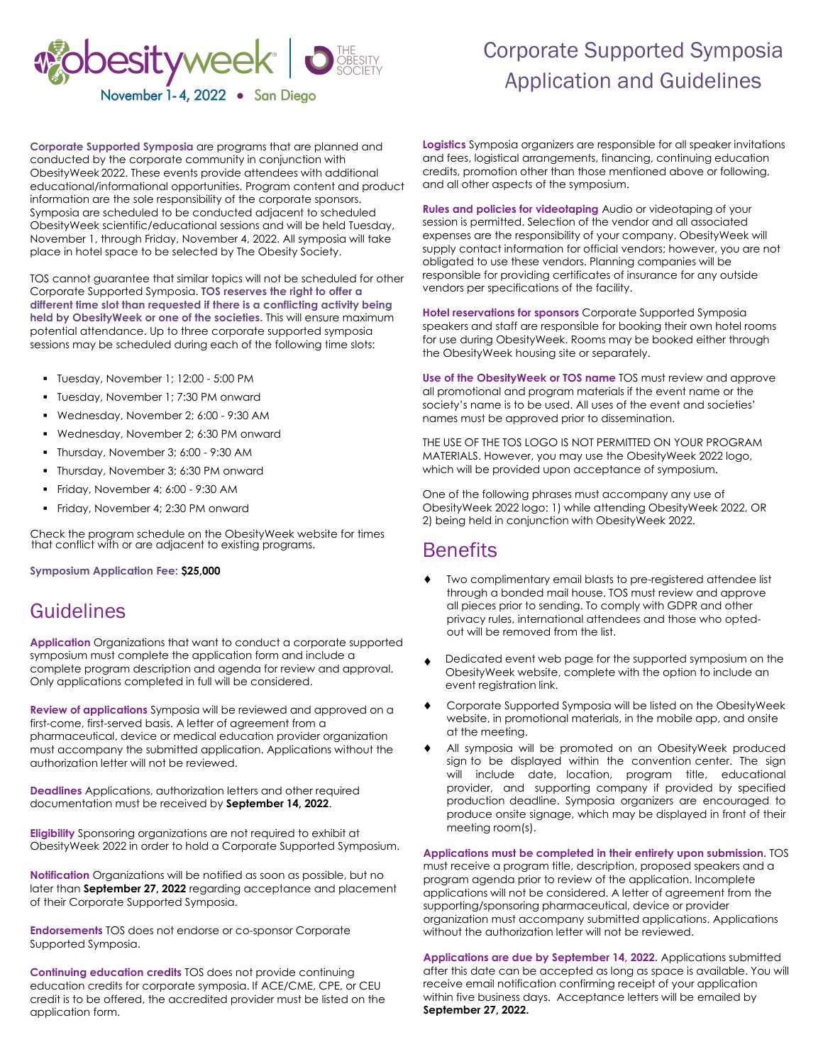

## Corporate Supported Symposia Application and Guidelines

**Corporate Supported Symposia** are programs that are planned and conducted by the corporate community in conjunction with ObesityWeek 2022. These events provide attendees with additional educational/informational opportunities. Program content and product information are the sole responsibility of the corporate sponsors. Symposia are scheduled to be conducted adjacent to scheduled ObesityWeek scientific/educational sessions and will be held Tuesday, November 1, through Friday, November 4, 2022. All symposia will take place in hotel space to be selected by The Obesity Society.

TOS cannot guarantee that similar topics will not be scheduled for other Corporate Supported Symposia. **TOS reserves the right to offer a different time slot than requested if there is a conflicting activity being held by ObesityWeek or one of the societies.** This will ensure maximum potential attendance. Up to three corporate supported symposia sessions may be scheduled during each of the following time slots:

- Tuesday, November 1; 12:00 5:00 PM
- **Tuesday, November 1; 7:30 PM onward**
- Wednesday, November 2; 6:00 9:30 AM
- Wednesday, November 2; 6:30 PM onward
- Thursday, November 3; 6:00 9:30 AM
- **Thursday, November 3; 6:30 PM onward**
- Friday, November 4; 6:00 9:30 AM
- Friday, November 4; 2:30 PM onward

Check the program schedule on the ObesityWeek website for times that conflict with or are adjacent to existing programs.

**Symposium Application Fee: \$25,000** 

## **Guidelines**

**Application** Organizations that want to conduct a corporate supported symposium must complete the application form and include a complete program description and agenda for review and approval. Only applications completed in full will be considered.

**Review of applications** Symposia will be reviewed and approved on a first-come, first-served basis. A letter of agreement from a pharmaceutical, device or medical education provider organization must accompany the submitted application. Applications without the authorization letter will not be reviewed.

**Deadlines** Applications, authorization letters and other required documentation must be received by **September 14, 2022**.

**Eligibility** Sponsoring organizations are not required to exhibit at ObesityWeek 2022 in order to hold a Corporate Supported Symposium.

**Notification** Organizations will be notified as soon as possible, but no later than **September 27, 2022** regarding acceptance and placement of their Corporate Supported Symposia.

**Endorsements** TOS does not endorse or co-sponsor Corporate Supported Symposia.

**Continuing education credits** TOS does not provide continuing education credits for corporate symposia. If ACE/CME, CPE, or CEU credit is to be offered, the accredited provider must be listed on the application form.

**Logistics** Symposia organizers are responsible for all speaker invitations and fees, logistical arrangements, financing, continuing education credits, promotion other than those mentioned above or following, and all other aspects of the symposium.

**Rules and policies for videotaping** Audio or videotaping of your session is permitted. Selection of the vendor and all associated expenses are the responsibility of your company. ObesityWeek will supply contact information for official vendors; however, you are not obligated to use these vendors. Planning companies will be responsible for providing certificates of insurance for any outside vendors per specifications of the facility.

**Hotel reservations for sponsors** Corporate Supported Symposia speakers and staff are responsible for booking their own hotel rooms for use during ObesityWeek. Rooms may be booked either through the ObesityWeek housing site or separately.

**Use of the ObesityWeek or TOS name** TOS must review and approve all promotional and program materials if the event name or the society's name is to be used. All uses of the event and societies' names must be approved prior to dissemination.

THE USE OF THE TOS LOGO IS NOT PERMITTED ON YOUR PROGRAM MATERIALS. However, you may use the ObesityWeek 2022 logo, which will be provided upon acceptance of symposium.

One of the following phrases must accompany any use of ObesityWeek 2022 logo: 1) while attending ObesityWeek 2022, OR 2) being held in conjunction with ObesityWeek 2022.

### **Benefits**

- Two complimentary email blasts to pre-registered attendee list through a bonded mail house. TOS must review and approve all pieces prior to sending. To comply with GDPR and other privacy rules, international attendees and those who optedout will be removed from the list.
- Dedicated event web page for the supported symposium on the ObesityWeek website, complete with the option to include an event registration link.
- Corporate Supported Symposia will be listed on the ObesityWeek website, in promotional materials, in the mobile app, and onsite at the meeting.
- All symposia will be promoted on an ObesityWeek produced sign to be displayed within the convention center. The sign will include date, location, program title, educational provider, and supporting company if provided by specified production deadline. Symposia organizers are encouraged to produce onsite signage, which may be displayed in front of their meeting room(s).

**Applications must be completed in their entirety upon submission.** TOS must receive a program title, description, proposed speakers and a

program agenda prior to review of the application. Incomplete applications will not be considered. A letter of agreement from the supporting/sponsoring pharmaceutical, device or provider organization must accompany submitted applications. Applications without the authorization letter will not be reviewed.

**Applications are due by September 14, 2022.** Applications submitted after this date can be accepted as long as space is available. You will receive email notification confirming receipt of your application within five business days. Acceptance letters will be emailed by **September 27, 2022.**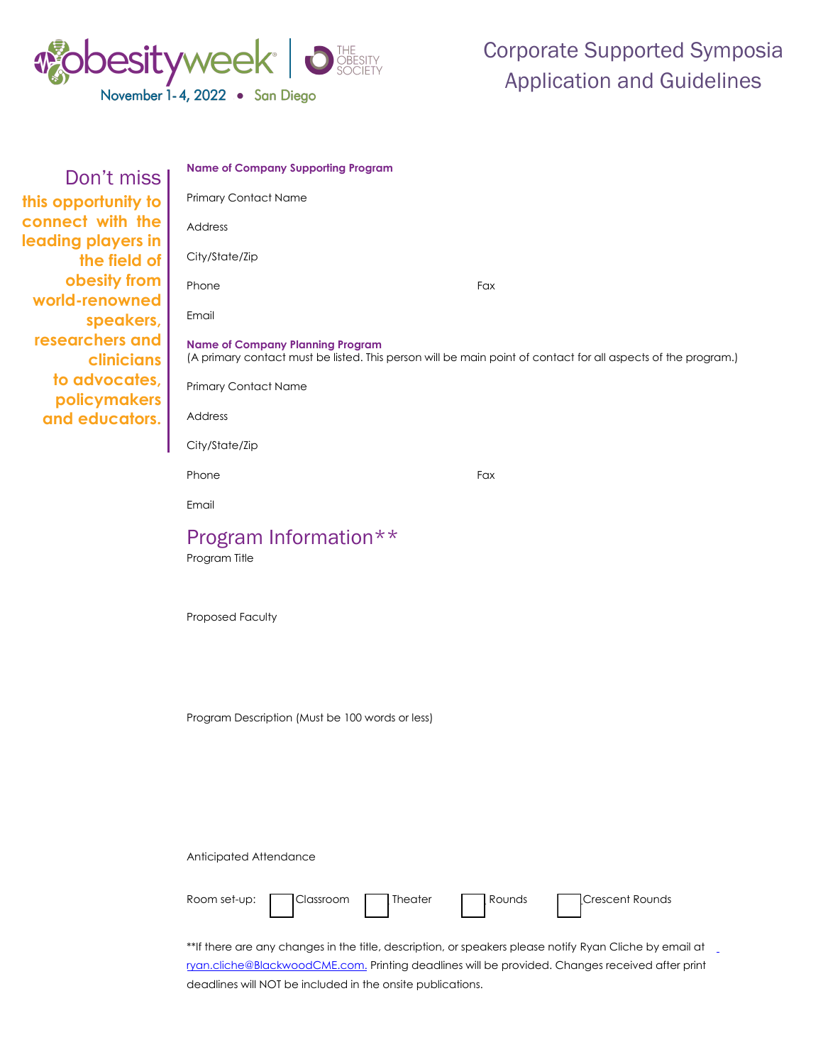

| Don't miss          |
|---------------------|
| this opportunity to |
| connect with the    |
| leading players in  |
| the field of        |
| obesity from        |
| world-renowned      |
| speakers,           |
| researchers and     |
| <b>clinicians</b>   |
| to advocates,       |
| policymakers        |
| and educators.      |

| <b>Name of Company Supporting Program</b>                                                                                                                |     |  |  |
|----------------------------------------------------------------------------------------------------------------------------------------------------------|-----|--|--|
| <b>Primary Contact Name</b>                                                                                                                              |     |  |  |
| Address                                                                                                                                                  |     |  |  |
| City/State/Zip                                                                                                                                           |     |  |  |
| Phone                                                                                                                                                    | Fax |  |  |
| Email                                                                                                                                                    |     |  |  |
| <b>Name of Company Planning Program</b><br>(A primary contact must be listed. This person will be main point of contact for all aspects of the program.) |     |  |  |
| <b>Primary Contact Name</b>                                                                                                                              |     |  |  |
| Address                                                                                                                                                  |     |  |  |
| City/State/Zip                                                                                                                                           |     |  |  |
| Phone                                                                                                                                                    | Fax |  |  |
| Email                                                                                                                                                    |     |  |  |
| Program Information**<br>Program Title                                                                                                                   |     |  |  |

Proposed Faculty

Program Description (Must be 100 words or less)

Anticipated Attendance



\*\*If there are any changes in the title, description, or speakers please notify Ryan Cliche by email at ryan.cliche[@BlackwoodCME.com. Print](mailto:%20Brent.Schwartz@BlackwoodCME.com.)ing deadlines will be provided. Changes received after print deadlines will NOT be included in the onsite publications.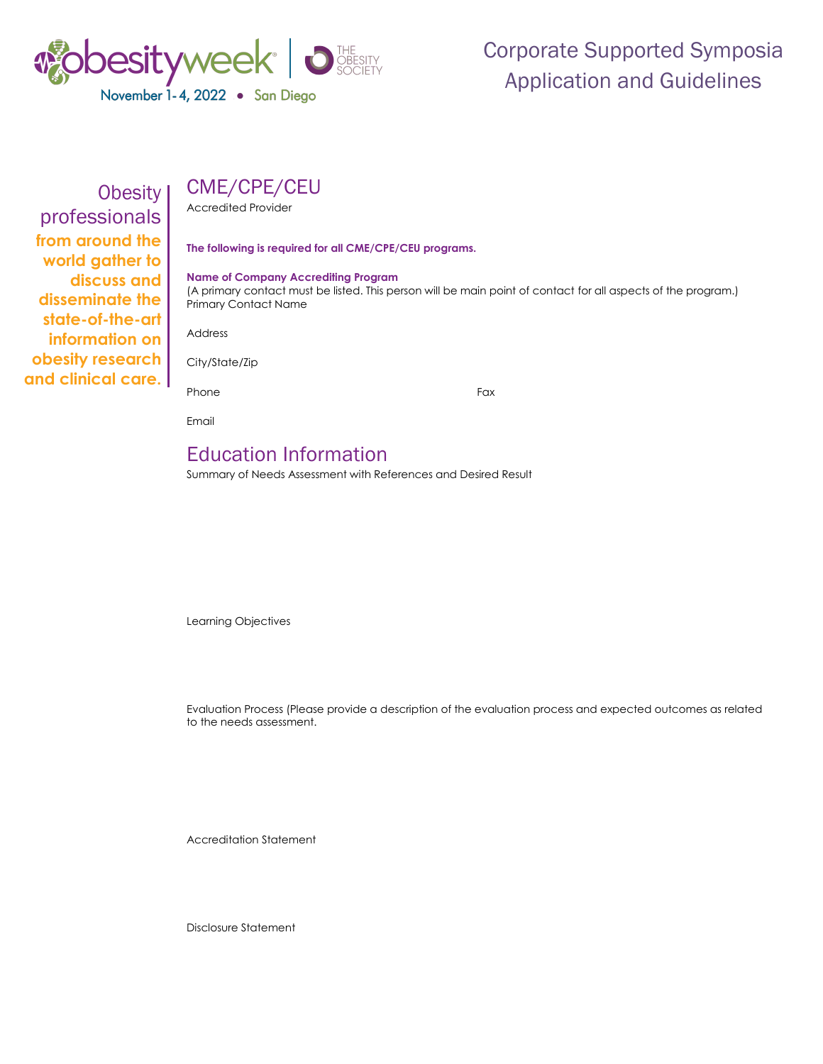

# Corporate Supported Symposia Application and Guidelines

## CME/CPE/CEU

Accredited Provider

**The following is required for all CME/CPE/CEU programs.**

#### **Name of Company Accrediting Program**

(A primary contact must be listed. This person will be main point of contact for all aspects of the program.) Primary Contact Name

Address

Obesity

professionals **from around the world gather to discuss and disseminate the state-of-the-art information on obesity research and clinical care.**

City/State/Zip

Phone Fax

Email

## Education Information

Summary of Needs Assessment with References and Desired Result

Learning Objectives

Evaluation Process (Please provide a description of the evaluation process and expected outcomes as related to the needs assessment.

Accreditation Statement

Disclosure Statement